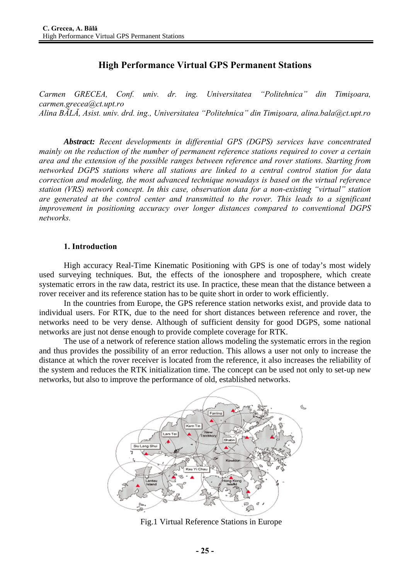# **High Performance Virtual GPS Permanent Stations**

*Carmen GRECEA, Conf. univ. dr. ing. Universitatea "Politehnica" din Timişoara, carmen.grecea@ct.upt.ro Alina BĂLĂ, Asist. univ. drd. ing., Universitatea "Politehnica" din Timişoara, alina.bala@ct.upt.ro* 

*Abstract: Recent developments in differential GPS (DGPS) services have concentrated mainly on the reduction of the number of permanent reference stations required to cover a certain area and the extension of the possible ranges between reference and rover stations. Starting from networked DGPS stations where all stations are linked to a central control station for data correction and modeling, the most advanced technique nowadays is based on the virtual reference station (VRS) network concept. In this case, observation data for a non-existing "virtual" station are generated at the control center and transmitted to the rover. This leads to a significant improvement in positioning accuracy over longer distances compared to conventional DGPS networks.*

#### **1. Introduction**

High accuracy Real-Time Kinematic Positioning with GPS is one of today's most widely used surveying techniques. But, the effects of the ionosphere and troposphere, which create systematic errors in the raw data, restrict its use. In practice, these mean that the distance between a rover receiver and its reference station has to be quite short in order to work efficiently.

In the countries from Europe, the GPS reference station networks exist, and provide data to individual users. For RTK, due to the need for short distances between reference and rover, the networks need to be very dense. Although of sufficient density for good DGPS, some national networks are just not dense enough to provide complete coverage for RTK.

The use of a network of reference station allows modeling the systematic errors in the region and thus provides the possibility of an error reduction. This allows a user not only to increase the distance at which the rover receiver is located from the reference, it also increases the reliability of the system and reduces the RTK initialization time. The concept can be used not only to set-up new networks, but also to improve the performance of old, established networks.



Fig.1 Virtual Reference Stations in Europe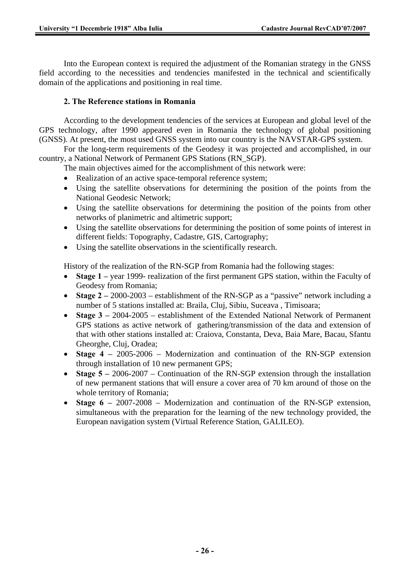Into the European context is required the adjustment of the Romanian strategy in the GNSS field according to the necessities and tendencies manifested in the technical and scientifically domain of the applications and positioning in real time.

### **2. The Reference stations in Romania**

According to the development tendencies of the services at European and global level of the GPS technology, after 1990 appeared even in Romania the technology of global positioning (GNSS). At present, the most used GNSS system into our country is the NAVSTAR-GPS system.

For the long-term requirements of the Geodesy it was projected and accomplished, in our country, a National Network of Permanent GPS Stations (RN\_SGP).

The main objectives aimed for the accomplishment of this network were:

- Realization of an active space-temporal reference system;
- Using the satellite observations for determining the position of the points from the National Geodesic Network;
- Using the satellite observations for determining the position of the points from other networks of planimetric and altimetric support;
- Using the satellite observations for determining the position of some points of interest in different fields: Topography, Cadastre, GIS, Cartography;
- Using the satellite observations in the scientifically research.

History of the realization of the RN-SGP from Romania had the following stages:

- **Stage 1** year 1999- realization of the first permanent GPS station, within the Faculty of Geodesy from Romania;
- **Stage 2** 2000-2003 establishment of the RN-SGP as a "passive" network including a number of 5 stations installed at: Braila, Cluj, Sibiu, Suceava , Timisoara;
- **Stage 3** 2004-2005 establishment of the Extended National Network of Permanent GPS stations as active network of gathering/transmission of the data and extension of that with other stations installed at: Craiova, Constanta, Deva, Baia Mare, Bacau, Sfantu Gheorghe, Cluj, Oradea;
- **Stage 4** 2005-2006 Modernization and continuation of the RN-SGP extension through installation of 10 new permanent GPS;
- **Stage 5** 2006-2007 Continuation of the RN-SGP extension through the installation of new permanent stations that will ensure a cover area of 70 km around of those on the whole territory of Romania;
- **Stage 6** 2007-2008 Modernization and continuation of the RN-SGP extension, simultaneous with the preparation for the learning of the new technology provided, the European navigation system (Virtual Reference Station, GALILEO).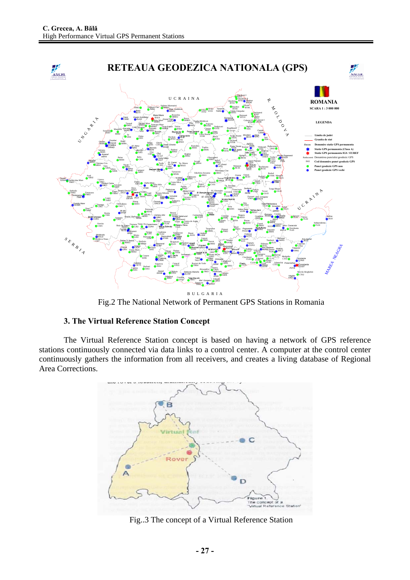

Fig.2 The National Network of Permanent GPS Stations in Romania

# **3. The Virtual Reference Station Concept**

The Virtual Reference Station concept is based on having a network of GPS reference stations continuously connected via data links to a control center. A computer at the control center continuously gathers the information from all receivers, and creates a living database of Regional Area Corrections.



Fig..3 The concept of a Virtual Reference Station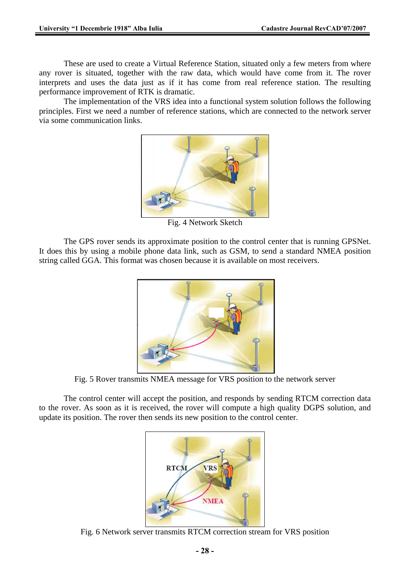These are used to create a Virtual Reference Station, situated only a few meters from where any rover is situated, together with the raw data, which would have come from it. The rover interprets and uses the data just as if it has come from real reference station. The resulting performance improvement of RTK is dramatic.

The implementation of the VRS idea into a functional system solution follows the following principles. First we need a number of reference stations, which are connected to the network server via some communication links.



Fig. 4 Network Sketch

The GPS rover sends its approximate position to the control center that is running GPSNet. It does this by using a mobile phone data link, such as GSM, to send a standard NMEA position string called GGA. This format was chosen because it is available on most receivers.



Fig. 5 Rover transmits NMEA message for VRS position to the network server

The control center will accept the position, and responds by sending RTCM correction data to the rover. As soon as it is received, the rover will compute a high quality DGPS solution, and update its position. The rover then sends its new position to the control center.



Fig. 6 Network server transmits RTCM correction stream for VRS position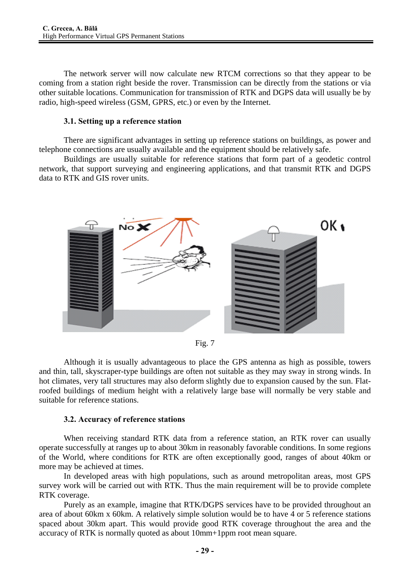The network server will now calculate new RTCM corrections so that they appear to be coming from a station right beside the rover. Transmission can be directly from the stations or via other suitable locations. Communication for transmission of RTK and DGPS data will usually be by radio, high-speed wireless (GSM, GPRS, etc.) or even by the Internet.

#### **3.1. Setting up a reference station**

There are significant advantages in setting up reference stations on buildings, as power and telephone connections are usually available and the equipment should be relatively safe.

Buildings are usually suitable for reference stations that form part of a geodetic control network, that support surveying and engineering applications, and that transmit RTK and DGPS data to RTK and GIS rover units.



Fig. 7

Although it is usually advantageous to place the GPS antenna as high as possible, towers and thin, tall, skyscraper-type buildings are often not suitable as they may sway in strong winds. In hot climates, very tall structures may also deform slightly due to expansion caused by the sun. Flatroofed buildings of medium height with a relatively large base will normally be very stable and suitable for reference stations.

#### **3.2. Accuracy of reference stations**

When receiving standard RTK data from a reference station, an RTK rover can usually operate successfully at ranges up to about 30km in reasonably favorable conditions. In some regions of the World, where conditions for RTK are often exceptionally good, ranges of about 40km or more may be achieved at times.

In developed areas with high populations, such as around metropolitan areas, most GPS survey work will be carried out with RTK. Thus the main requirement will be to provide complete RTK coverage.

Purely as an example, imagine that RTK/DGPS services have to be provided throughout an area of about 60km x 60km. A relatively simple solution would be to have 4 or 5 reference stations spaced about 30km apart. This would provide good RTK coverage throughout the area and the accuracy of RTK is normally quoted as about 10mm+1ppm root mean square.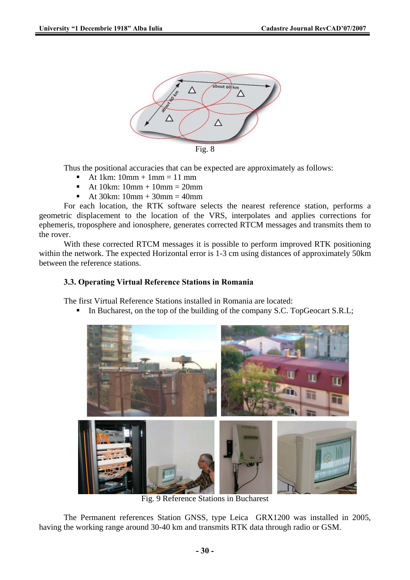

Thus the positional accuracies that can be expected are approximately as follows:

- At 1 $km: 10mm + 1mm = 11mm$
- At 10km: 10mm + 10mm = 20mm
- At 30km:  $10mm + 30mm = 40mm$

For each location, the RTK software selects the nearest reference station, performs a geometric displacement to the location of the VRS, interpolates and applies corrections for ephemeris, troposphere and ionosphere, generates corrected RTCM messages and transmits them to the rover.

With these corrected RTCM messages it is possible to perform improved RTK positioning within the network. The expected Horizontal error is 1-3 cm using distances of approximately 50km between the reference stations.

# **3.3. Operating Virtual Reference Stations in Romania**

The first Virtual Reference Stations installed in Romania are located:

In Bucharest, on the top of the building of the company S.C. TopGeocart S.R.L;



Fig. 9 Reference Stations in Bucharest

The Permanent references Station GNSS, type Leica GRX1200 was installed in 2005, having the working range around 30-40 km and transmits RTK data through radio or GSM.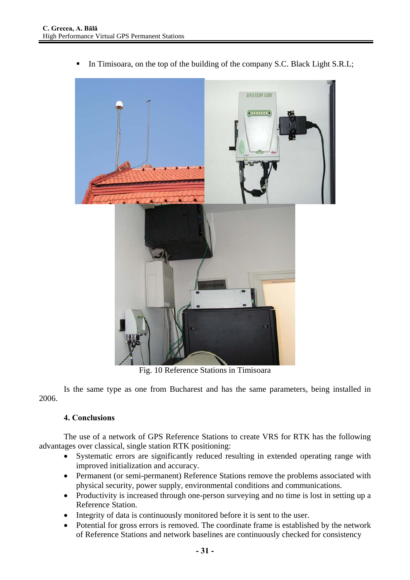

In Timisoara, on the top of the building of the company S.C. Black Light S.R.L;

Fig. 10 Reference Stations in Timisoara

Is the same type as one from Bucharest and has the same parameters, being installed in 2006.

#### **4. Conclusions**

The use of a network of GPS Reference Stations to create VRS for RTK has the following advantages over classical, single station RTK positioning:

- Systematic errors are significantly reduced resulting in extended operating range with improved initialization and accuracy.
- Permanent (or semi-permanent) Reference Stations remove the problems associated with physical security, power supply, environmental conditions and communications.
- Productivity is increased through one-person surveying and no time is lost in setting up a Reference Station.
- Integrity of data is continuously monitored before it is sent to the user.
- Potential for gross errors is removed. The coordinate frame is established by the network of Reference Stations and network baselines are continuously checked for consistency